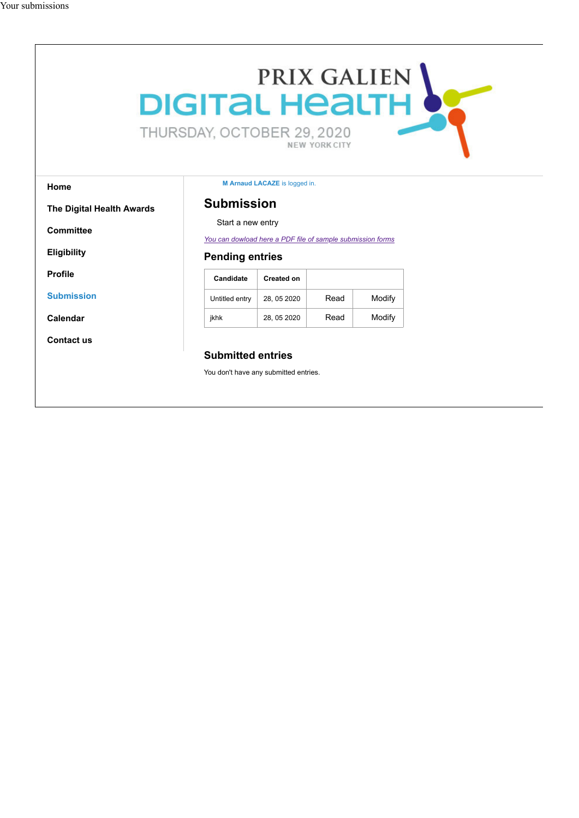# PRIX GALIEN L THURSDAY, OCTOBER 29, 2020 NEW YORK CITY

#### **Home**

**Committee**

**Eligibility**

**Submission**

**Calendar**

**Contact us**

**Profile**

**M Arnaud LACAZE** is logged in.

### **The Digital Health Awards**

# **Submission**

Start a new entry

*You can dowload here a PDF file of sample submission forms*

## **Pending entries**

| Candidate      | Created on  |      |        |
|----------------|-------------|------|--------|
| Untitled entry | 28, 05 2020 | Read | Modify |
| ikhk           | 28, 05 2020 | Read | Modify |

## **Submitted entries**

You don't have any submitted entries.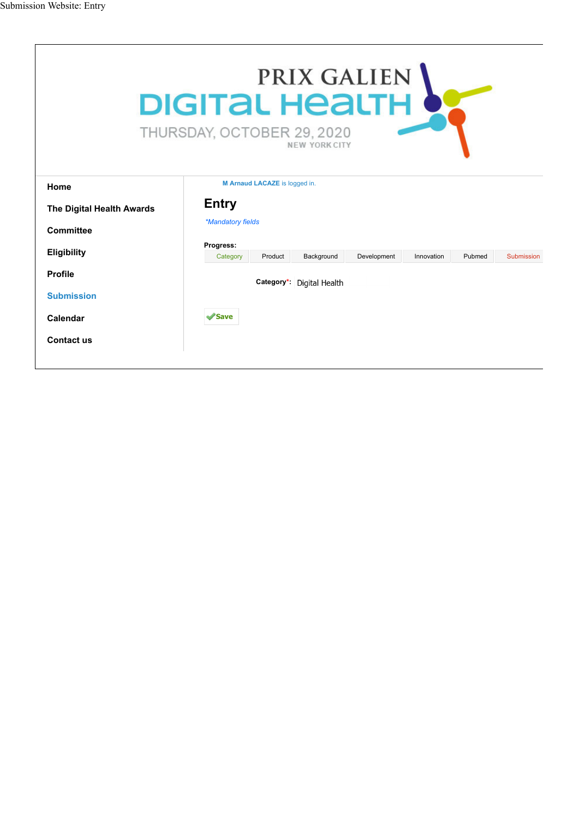| PRIX GALIEN<br><b>DIGITAL HEALTH</b><br>THURSDAY, OCTOBER 29, 2020<br>NEW YORK CITY |                               |         |                           |             |            |        |            |
|-------------------------------------------------------------------------------------|-------------------------------|---------|---------------------------|-------------|------------|--------|------------|
| Home                                                                                | M Arnaud LACAZE is logged in. |         |                           |             |            |        |            |
| <b>Entry</b><br>The Digital Health Awards<br>*Mandatory fields<br>Committee         |                               |         |                           |             |            |        |            |
|                                                                                     |                               |         |                           |             |            |        |            |
| <b>Eligibility</b>                                                                  | Progress:                     |         |                           |             |            |        |            |
|                                                                                     | Category                      | Product | Background                | Development | Innovation | Pubmed | Submission |
| <b>Profile</b>                                                                      |                               |         | Category*: Digital Health |             |            |        |            |
| <b>Submission</b>                                                                   |                               |         |                           |             |            |        |            |
| Calendar                                                                            | $\mathscr$ Save               |         |                           |             |            |        |            |
| Contact us                                                                          |                               |         |                           |             |            |        |            |
|                                                                                     |                               |         |                           |             |            |        |            |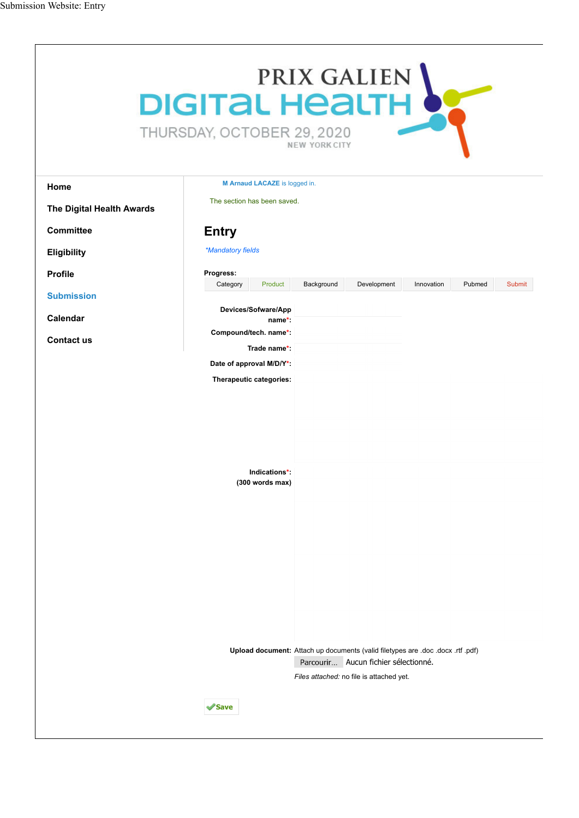|                           | PRIX GALIEN<br><b>DIGITAL HEALTH</b><br>THURSDAY, OCTOBER 29, 2020<br><b>NEW YORK CITY</b>                                                                                                |
|---------------------------|-------------------------------------------------------------------------------------------------------------------------------------------------------------------------------------------|
| Home                      | M Arnaud LACAZE is logged in.                                                                                                                                                             |
| The Digital Health Awards | The section has been saved.                                                                                                                                                               |
| <b>Committee</b>          | <b>Entry</b>                                                                                                                                                                              |
| Eligibility               | *Mandatory fields                                                                                                                                                                         |
| <b>Profile</b>            | Progress:                                                                                                                                                                                 |
| <b>Submission</b>         | Background<br>Development<br>Innovation<br>Pubmed<br><b>Submit</b><br>Category<br>Product                                                                                                 |
| Calendar                  | Devices/Sofware/App<br>name*:                                                                                                                                                             |
| <b>Contact us</b>         | Compound/tech. name*:<br>Trade name*:                                                                                                                                                     |
|                           | Date of approval M/D/Y*:                                                                                                                                                                  |
|                           | Therapeutic categories:                                                                                                                                                                   |
|                           | Indications*:<br>(300 words max)                                                                                                                                                          |
|                           | Upload document: Attach up documents (valid filetypes are .doc .docx .rtf .pdf)<br>Parcourir Aucun fichier sélectionné.<br>Files attached: no file is attached yet.<br><i><b>Save</b></i> |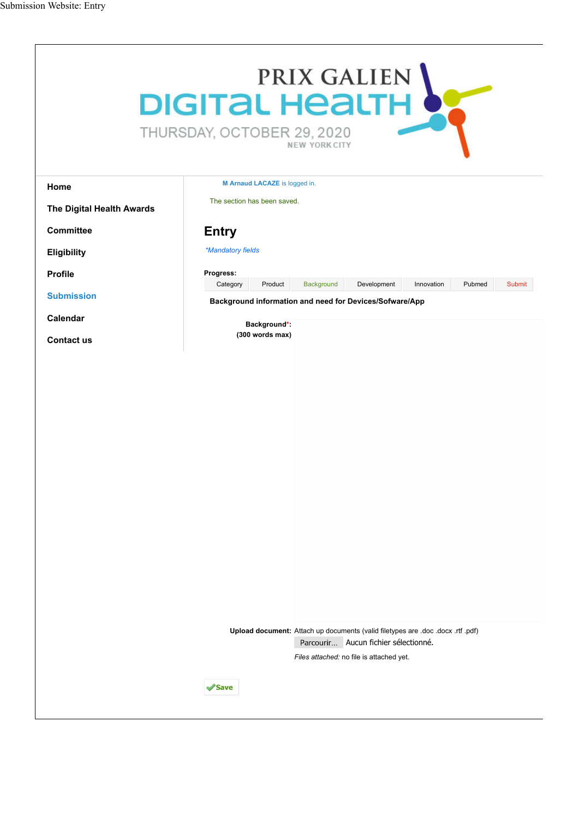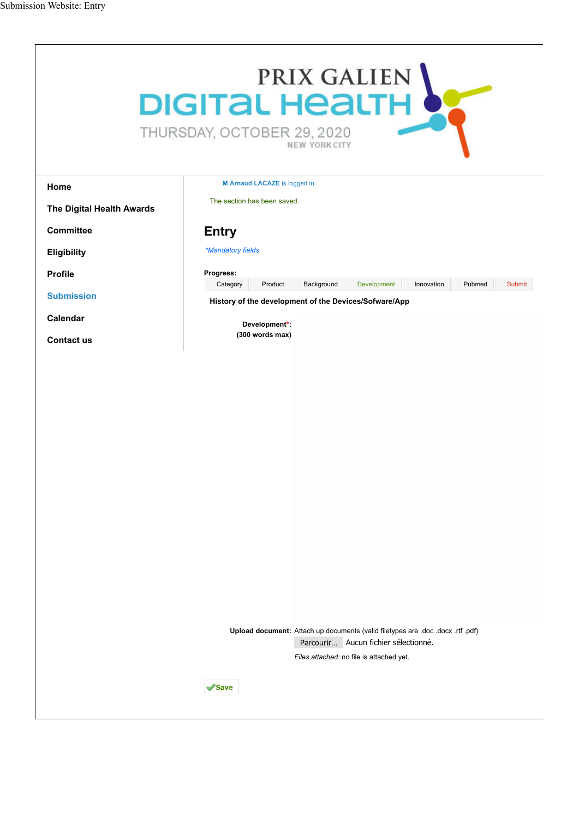|                           | PRIX GALIEN<br><b>DIGITAL HEALTH</b><br>THURSDAY, OCTOBER 29, 2020<br><b>NEW YORK CITY</b>                                                                          |
|---------------------------|---------------------------------------------------------------------------------------------------------------------------------------------------------------------|
| Home                      | M Arnaud LACAZE is logged in.                                                                                                                                       |
| The Digital Health Awards | The section has been saved.                                                                                                                                         |
| <b>Committee</b>          | <b>Entry</b>                                                                                                                                                        |
| <b>Eligibility</b>        | *Mandatory fields                                                                                                                                                   |
| Profile                   | Progress:                                                                                                                                                           |
| <b>Submission</b>         | Background<br>Development<br>Pubmed<br>Category<br>Product<br>Innovation<br>Submit                                                                                  |
| Calendar                  | History of the development of the Devices/Sofware/App                                                                                                               |
| <b>Contact us</b>         | Development*:<br>(300 words max)                                                                                                                                    |
|                           |                                                                                                                                                                     |
|                           | Upload document: Attach up documents (valid filetypes are .doc .docx .rtf .pdf)<br>Parcourir Aucun fichier sélectionné.<br>Files attached: no file is attached yet. |
|                           | Save                                                                                                                                                                |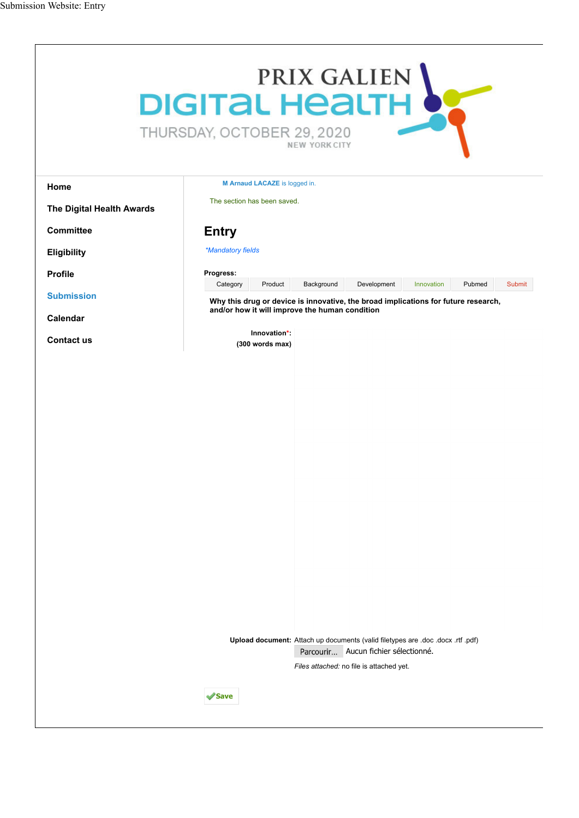| PRIX GALIEN<br><b>DIGITAL HEALTH</b><br>THURSDAY, OCTOBER 29, 2020<br><b>NEW YORK CITY</b> |                                                                                                                                                                                 |  |  |  |
|--------------------------------------------------------------------------------------------|---------------------------------------------------------------------------------------------------------------------------------------------------------------------------------|--|--|--|
| Home                                                                                       | M Arnaud LACAZE is logged in.                                                                                                                                                   |  |  |  |
| The Digital Health Awards                                                                  | The section has been saved.                                                                                                                                                     |  |  |  |
| <b>Committee</b>                                                                           | <b>Entry</b>                                                                                                                                                                    |  |  |  |
| <b>Eligibility</b>                                                                         | *Mandatory fields                                                                                                                                                               |  |  |  |
| <b>Profile</b>                                                                             | Progress:                                                                                                                                                                       |  |  |  |
| <b>Submission</b>                                                                          | Product<br>Background<br>Development<br>Innovation<br>Pubmed<br><b>Submit</b><br>Category<br>Why this drug or device is innovative, the broad implications for future research, |  |  |  |
| Calendar                                                                                   | and/or how it will improve the human condition                                                                                                                                  |  |  |  |
| <b>Contact us</b>                                                                          | Innovation*:<br>(300 words max)                                                                                                                                                 |  |  |  |
|                                                                                            | Upload document: Attach up documents (valid filetypes are .doc .docx .rtf .pdf)<br>Parcourir Aucun fichier sélectionné.<br>Files attached: no file is attached yet.             |  |  |  |
|                                                                                            | <b>∕Save</b>                                                                                                                                                                    |  |  |  |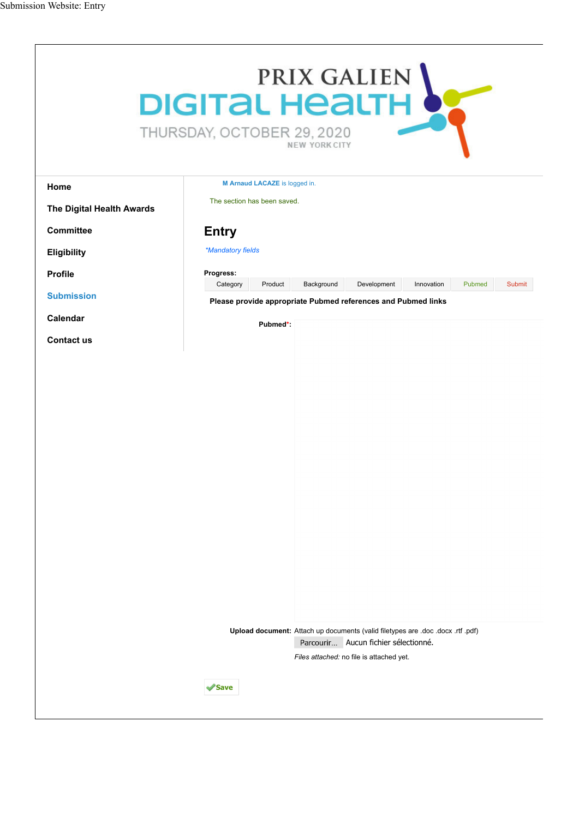